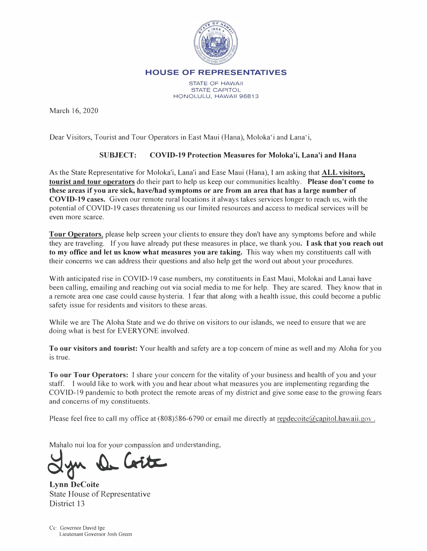

HOUSE OF REPRESENTATIVES

STATE OF HAWAII STATE CAPITOL HONOLULU, HAWAII 96813

March 16, 2020

Dear Visitors, Tourist and Tour Operators in East Maui (Hana), Moloka'i and Lana'i,

## **SUBJECT: COVID-19 Protection Measures for Moloka'i, Lana'i and Hana**

As the State Representative for Moloka'i, Lana'i and Ease Maui (Hana), I am asking that **ALL visitors, tourist and tour operators** do their part to help us keep our communities healthy. **Please don't come to these areas if you are sick, have/had symptoms or are f <sup>r</sup>om an area that has a large number of COVID-19 cases.** Given our remote rural locations it always takes services longer to reach us, with the potential ofCOVID-19 cases threatening us our limited resources and access to medical services will be even more scarce.

**Tour Operators,** please help screen your clients to ensure they don't have any symptoms before and while they are traveling. If you have already put these measures in place, we thank you. I **ask that you reach out to my office and let us know what measures you are taking.** This way when my constituents call with their concerns we can address their questions and also help get the word out about your procedures.

With anticipated rise in COVID-19 case numbers, my constituents in East Maui, Molokai and Lanai have been calling, emailing and reaching out via social media to me for help. They are scared. They know that in a remote area one case could cause hysteria. I fear that along with a health issue, this could become a public safety issue for residents and visitors to these areas.

While we are The Aloha State and we do thrive on visitors to our islands, we need to ensure that we are doing what is best for EVERYONE involved.

**To our visitors and tourist:** Your health and safety are a top concern of mine as well and my Aloha for you is true.

**To our Tour Operators:** I share your concern for the vitality of your business and health of you and your staff. I would like to work with you and hear about what measures you are implementing regarding the COVID-19 pandemic to both protect the remote areas of my district and give some ease to the growing fears and concerns of my constituents.

Please feel free to call my office at (808)586-6790 or email me directly at repdecoite@capitol.hawaii.gov.

Mahalo nui loa for your compassion and understanding,

**A**, *MA* 

**Lynn DeCoite**  State House of Representative District 13